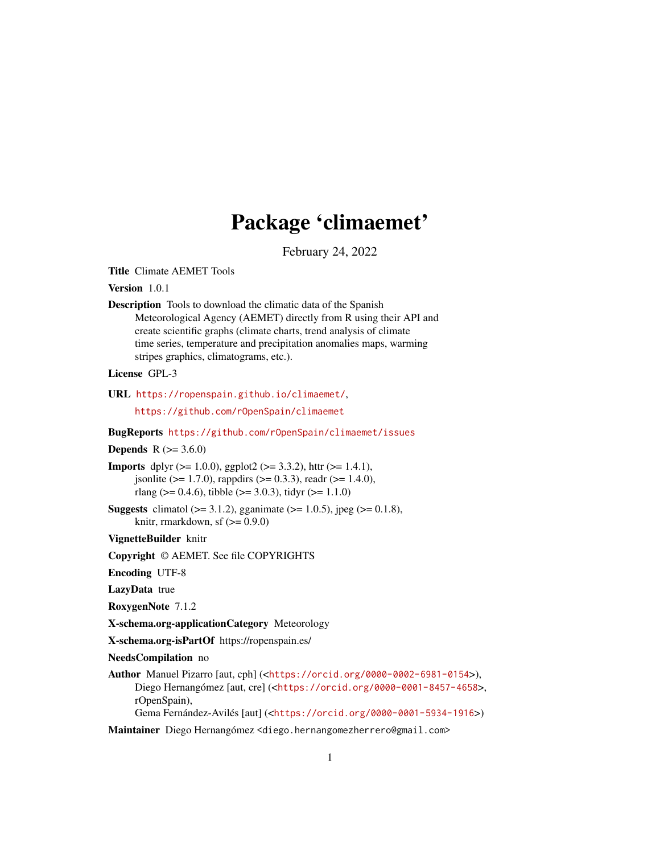## Package 'climaemet'

February 24, 2022

<span id="page-0-0"></span>Title Climate AEMET Tools

Version 1.0.1

Description Tools to download the climatic data of the Spanish Meteorological Agency (AEMET) directly from R using their API and create scientific graphs (climate charts, trend analysis of climate time series, temperature and precipitation anomalies maps, warming stripes graphics, climatograms, etc.).

License GPL-3

URL <https://ropenspain.github.io/climaemet/>,

<https://github.com/rOpenSpain/climaemet>

BugReports <https://github.com/rOpenSpain/climaemet/issues>

#### **Depends**  $R (= 3.6.0)$

**Imports** dplyr ( $>= 1.0.0$ ), ggplot2 ( $>= 3.3.2$ ), httr ( $>= 1.4.1$ ), jsonlite ( $> = 1.7.0$ ), rappdirs ( $> = 0.3.3$ ), readr ( $> = 1.4.0$ ), rlang ( $> = 0.4.6$ ), tibble ( $> = 3.0.3$ ), tidyr ( $> = 1.1.0$ )

**Suggests** climatol ( $>= 3.1.2$ ), gganimate ( $>= 1.0.5$ ), jpeg ( $>= 0.1.8$ ), knitr, rmarkdown, sf  $(>= 0.9.0)$ 

VignetteBuilder knitr

Copyright © AEMET. See file COPYRIGHTS

Encoding UTF-8

LazyData true

RoxygenNote 7.1.2

X-schema.org-applicationCategory Meteorology

X-schema.org-isPartOf https://ropenspain.es/

NeedsCompilation no

Author Manuel Pizarro [aut, cph] (<<https://orcid.org/0000-0002-6981-0154>>), Diego Hernangómez [aut, cre] (<<https://orcid.org/0000-0001-8457-4658>>, rOpenSpain),

Gema Fernández-Avilés [aut] (<<https://orcid.org/0000-0001-5934-1916>>)

Maintainer Diego Hernangómez <diego.hernangomezherrero@gmail.com>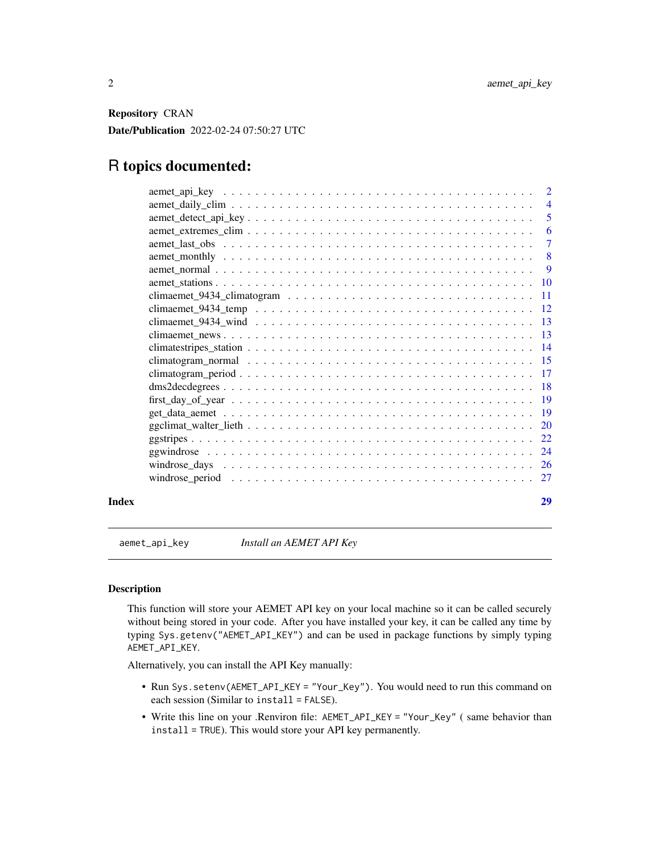<span id="page-1-0"></span>Repository CRAN

Date/Publication 2022-02-24 07:50:27 UTC

## R topics documented:

| Index | 29             |
|-------|----------------|
|       | 27             |
|       |                |
|       | 24             |
|       | 22             |
|       | 20             |
|       |                |
|       |                |
|       |                |
|       |                |
|       |                |
|       |                |
|       |                |
|       |                |
|       |                |
|       |                |
|       |                |
|       | $\overline{9}$ |
|       | 8              |
|       | $\overline{7}$ |
|       | 6              |
|       | -5             |
|       | $\overline{4}$ |
|       |                |

<span id="page-1-1"></span>aemet\_api\_key *Install an AEMET API Key*

### Description

This function will store your AEMET API key on your local machine so it can be called securely without being stored in your code. After you have installed your key, it can be called any time by typing Sys.getenv("AEMET\_API\_KEY") and can be used in package functions by simply typing AEMET\_API\_KEY.

Alternatively, you can install the API Key manually:

- Run Sys.setenv(AEMET\_API\_KEY = "Your\_Key"). You would need to run this command on each session (Similar to install = FALSE).
- Write this line on your .Renviron file: AEMET\_API\_KEY = "Your\_Key" ( same behavior than install = TRUE). This would store your API key permanently.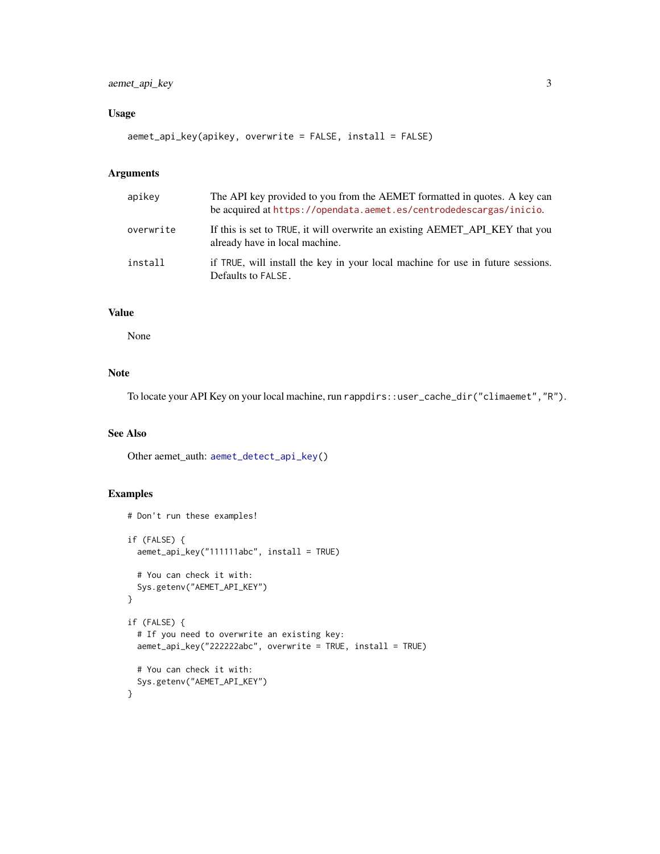### <span id="page-2-0"></span>aemet\_api\_key 3

### Usage

aemet\_api\_key(apikey, overwrite = FALSE, install = FALSE)

#### Arguments

| apikey    | The API key provided to you from the AEMET formatted in quotes. A key can<br>be acquired at https://opendata.aemet.es/centrodedescargas/inicio. |
|-----------|-------------------------------------------------------------------------------------------------------------------------------------------------|
| overwrite | If this is set to TRUE, it will overwrite an existing AEMET API KEY that you<br>already have in local machine.                                  |
| install   | if TRUE, will install the key in your local machine for use in future sessions.<br>Defaults to FALSE.                                           |

### Value

None

### Note

To locate your API Key on your local machine, run rappdirs::user\_cache\_dir("climaemet","R").

### See Also

Other aemet\_auth: [aemet\\_detect\\_api\\_key\(](#page-4-1))

### Examples

```
# Don't run these examples!
if (FALSE) {
  aemet_api_key("111111abc", install = TRUE)
  # You can check it with:
  Sys.getenv("AEMET_API_KEY")
}
if (FALSE) {
  # If you need to overwrite an existing key:
  aemet_api_key("222222abc", overwrite = TRUE, install = TRUE)
  # You can check it with:
  Sys.getenv("AEMET_API_KEY")
}
```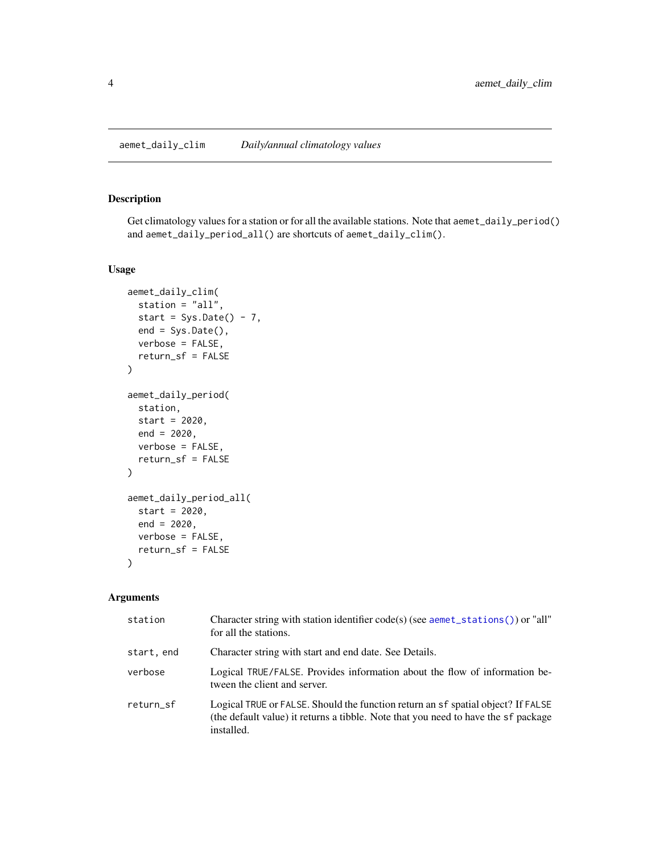### <span id="page-3-2"></span><span id="page-3-1"></span><span id="page-3-0"></span>Description

Get climatology values for a station or for all the available stations. Note that aemet\_daily\_period() and aemet\_daily\_period\_all() are shortcuts of aemet\_daily\_clim().

#### Usage

```
aemet_daily_clim(
 station = "all",
  start = Sys.Date() - 7,
 end = Sys.Date(),verbose = FALSE,
  return_sf = FALSE
)
aemet_daily_period(
 station,
  start = 2020,
 end = 2020,
 verbose = FALSE,
  return_sf = FALSE
)
aemet_daily_period_all(
  start = 2020,
  end = 2020,
 verbose = FALSE,
  return_sf = FALSE
\mathcal{L}
```
#### Arguments

| station    | Character string with station identifier code(s) (see aemet_stations()) or "all"<br>for all the stations.                                                                            |
|------------|--------------------------------------------------------------------------------------------------------------------------------------------------------------------------------------|
| start, end | Character string with start and end date. See Details.                                                                                                                               |
| verbose    | Logical TRUE/FALSE. Provides information about the flow of information be-<br>tween the client and server.                                                                           |
| return_sf  | Logical TRUE or FALSE. Should the function return an sf spatial object? If FALSE<br>(the default value) it returns a tibble. Note that you need to have the sf package<br>installed. |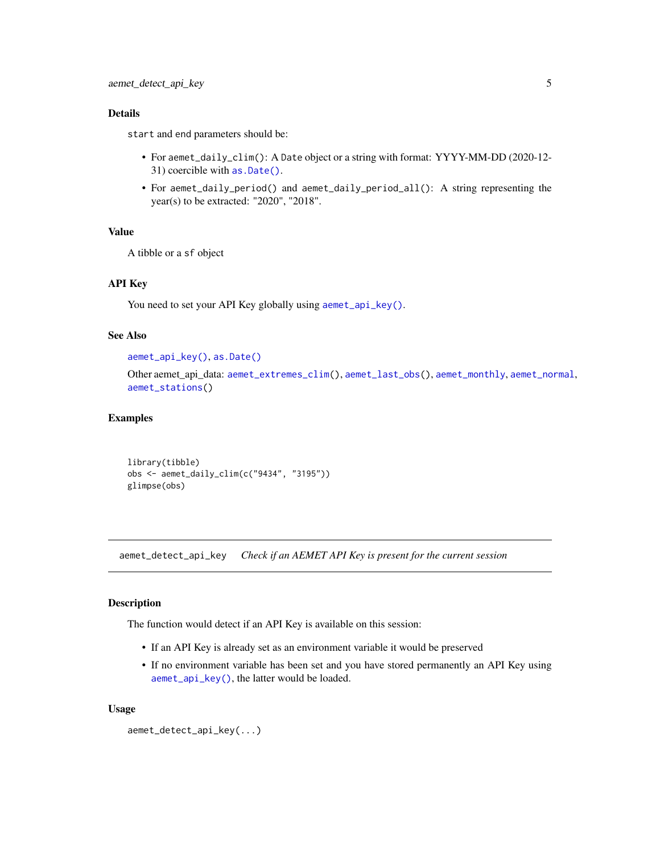#### <span id="page-4-0"></span>Details

start and end parameters should be:

- For aemet\_daily\_clim(): A Date object or a string with format: YYYY-MM-DD (2020-12- 31) coercible with [as.Date\(\)](#page-0-0).
- For aemet\_daily\_period() and aemet\_daily\_period\_all(): A string representing the year(s) to be extracted: "2020", "2018".

#### Value

A tibble or a sf object

### API Key

You need to set your API Key globally using [aemet\\_api\\_key\(\)](#page-1-1).

#### See Also

```
aemet_api_key(), as.Date()
```
Other aemet\_api\_data: [aemet\\_extremes\\_clim\(](#page-5-1)), [aemet\\_last\\_obs\(](#page-6-1)), [aemet\\_monthly](#page-7-1), [aemet\\_normal](#page-8-1), [aemet\\_stations\(](#page-9-1))

#### Examples

```
library(tibble)
obs <- aemet_daily_clim(c("9434", "3195"))
glimpse(obs)
```
<span id="page-4-1"></span>aemet\_detect\_api\_key *Check if an AEMET API Key is present for the current session*

#### Description

The function would detect if an API Key is available on this session:

- If an API Key is already set as an environment variable it would be preserved
- If no environment variable has been set and you have stored permanently an API Key using [aemet\\_api\\_key\(\)](#page-1-1), the latter would be loaded.

```
aemet_detect_api_key(...)
```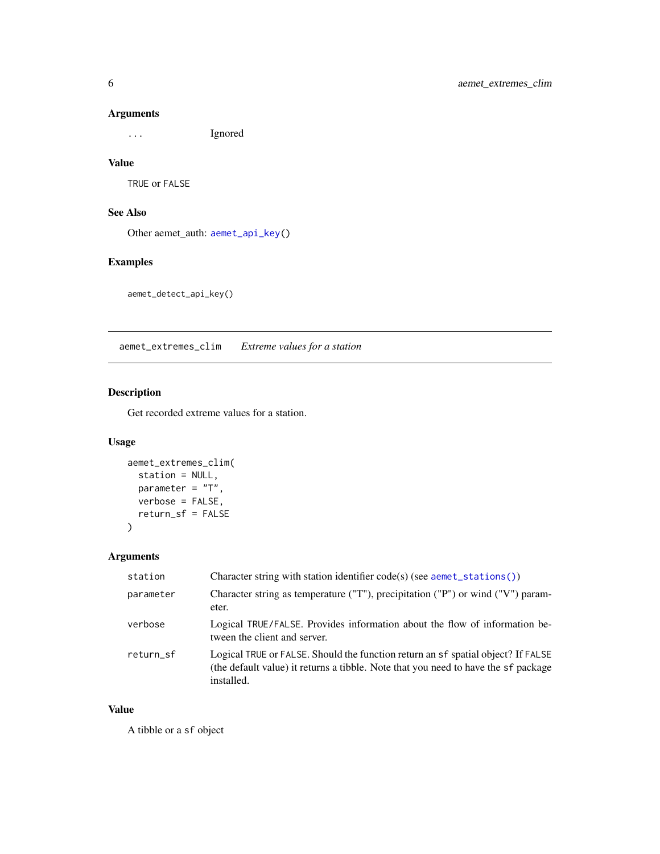... Ignored

#### Value

TRUE or FALSE

### See Also

Other aemet\_auth: [aemet\\_api\\_key\(](#page-1-1))

### Examples

aemet\_detect\_api\_key()

<span id="page-5-1"></span>aemet\_extremes\_clim *Extreme values for a station*

### Description

Get recorded extreme values for a station.

### Usage

```
aemet_extremes_clim(
 station = NULL,
 parameter = "T",
 verbose = FALSE,
 return_sf = FALSE
)
```
### Arguments

| station   | Character string with station identifier code(s) (see $a$ emet_stations())                                                                                                           |
|-----------|--------------------------------------------------------------------------------------------------------------------------------------------------------------------------------------|
| parameter | Character string as temperature ("T"), precipitation ("P") or wind ("V") param-<br>eter.                                                                                             |
| verbose   | Logical TRUE/FALSE. Provides information about the flow of information be-<br>tween the client and server.                                                                           |
| return_sf | Logical TRUE or FALSE. Should the function return an sf spatial object? If FALSE<br>(the default value) it returns a tibble. Note that you need to have the sf package<br>installed. |

### Value

A tibble or a sf object

<span id="page-5-0"></span>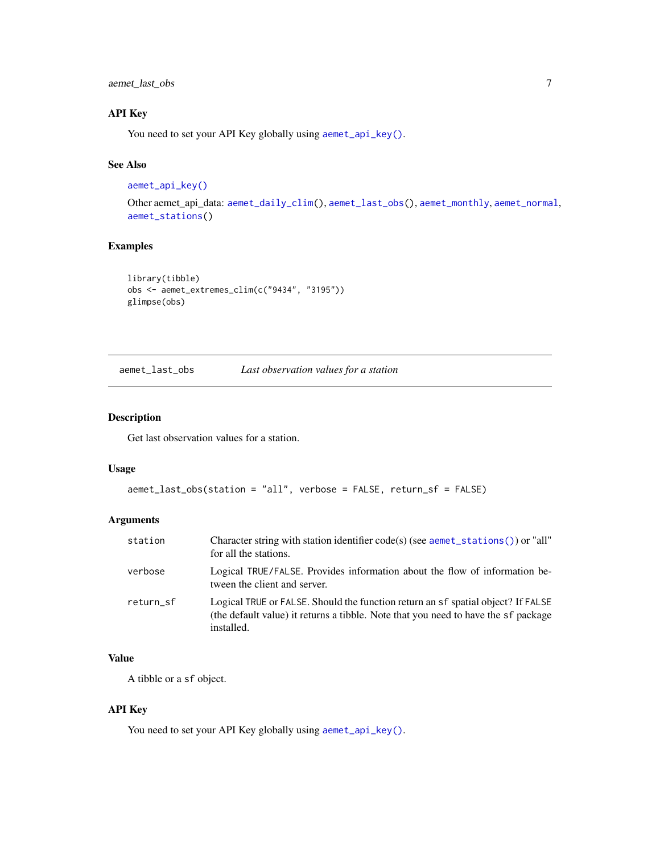<span id="page-6-0"></span>aemet\_last\_obs 7

### API Key

You need to set your API Key globally using [aemet\\_api\\_key\(\)](#page-1-1).

#### See Also

```
aemet_api_key()
```
Other aemet\_api\_data: [aemet\\_daily\\_clim\(](#page-3-1)), [aemet\\_last\\_obs\(](#page-6-1)), [aemet\\_monthly](#page-7-1), [aemet\\_normal](#page-8-1), [aemet\\_stations\(](#page-9-1))

### Examples

```
library(tibble)
obs <- aemet_extremes_clim(c("9434", "3195"))
glimpse(obs)
```
<span id="page-6-1"></span>aemet\_last\_obs *Last observation values for a station*

### Description

Get last observation values for a station.

#### Usage

```
aemet_last_obs(station = "all", verbose = FALSE, return_sf = FALSE)
```
### Arguments

| station   | Character string with station identifier code(s) (see aemet_stations()) or "all"<br>for all the stations.                                                                            |
|-----------|--------------------------------------------------------------------------------------------------------------------------------------------------------------------------------------|
| verbose   | Logical TRUE/FALSE. Provides information about the flow of information be-<br>tween the client and server.                                                                           |
| return sf | Logical TRUE or FALSE. Should the function return an sf spatial object? If FALSE<br>(the default value) it returns a tibble. Note that you need to have the sf package<br>installed. |

### Value

A tibble or a sf object.

### API Key

You need to set your API Key globally using [aemet\\_api\\_key\(\)](#page-1-1).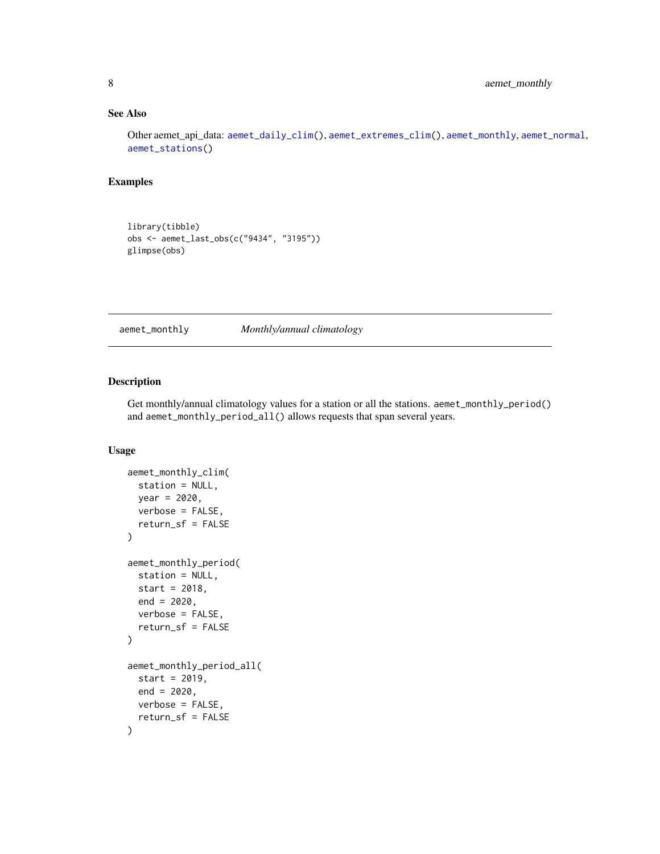### <span id="page-7-0"></span>See Also

Other aemet\_api\_data: [aemet\\_daily\\_clim\(](#page-3-1)), [aemet\\_extremes\\_clim\(](#page-5-1)), [aemet\\_monthly](#page-7-1), [aemet\\_normal](#page-8-1), [aemet\\_stations\(](#page-9-1))

#### Examples

library(tibble) obs <- aemet\_last\_obs(c("9434", "3195")) glimpse(obs)

<span id="page-7-1"></span>aemet\_monthly *Monthly/annual climatology*

### Description

Get monthly/annual climatology values for a station or all the stations. aemet\_monthly\_period() and aemet\_monthly\_period\_all() allows requests that span several years.

```
aemet_monthly_clim(
  station = NULL,
 year = 2020,
 verbose = FALSE,
  return_sf = FALSE
)
aemet_monthly_period(
  station = NULL,
 start = 2018,
 end = 2020,
  verbose = FALSE,
  return_sf = FALSE
)
aemet_monthly_period_all(
  start = 2019,
 end = 2020,verbose = FALSE,
  return_sf = FALSE
)
```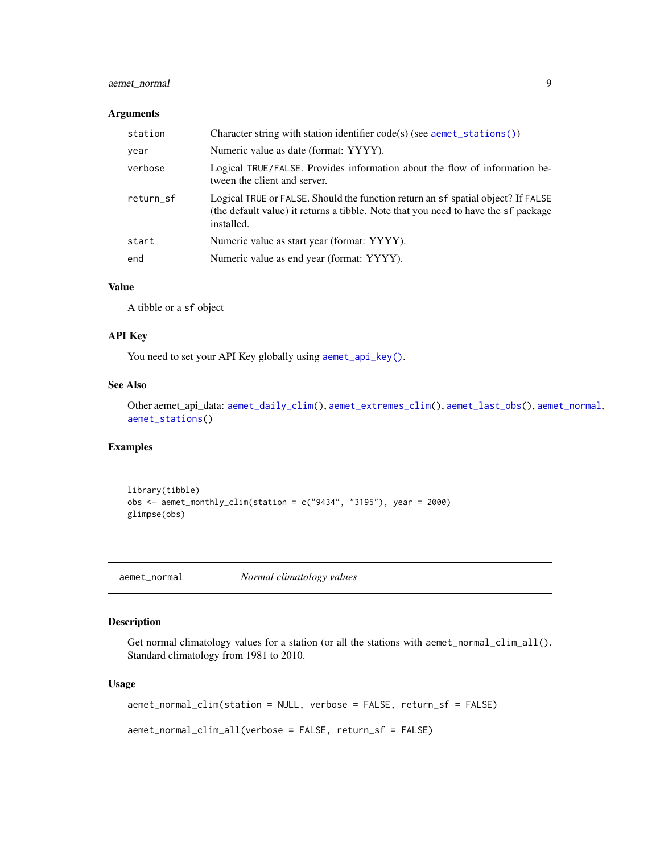### <span id="page-8-0"></span>aemet\_normal 9

#### Arguments

| station   | Character string with station identifier code(s) (see aemet_stations())                                                                                                              |
|-----------|--------------------------------------------------------------------------------------------------------------------------------------------------------------------------------------|
| year      | Numeric value as date (format: YYYY).                                                                                                                                                |
| verbose   | Logical TRUE/FALSE. Provides information about the flow of information be-<br>tween the client and server.                                                                           |
| return sf | Logical TRUE or FALSE. Should the function return an sf spatial object? If FALSE<br>(the default value) it returns a tibble. Note that you need to have the sf package<br>installed. |
| start     | Numeric value as start year (format: YYYY).                                                                                                                                          |
| end       | Numeric value as end year (format: YYYY).                                                                                                                                            |

#### Value

A tibble or a sf object

#### API Key

You need to set your API Key globally using [aemet\\_api\\_key\(\)](#page-1-1).

### See Also

Other aemet\_api\_data: [aemet\\_daily\\_clim\(](#page-3-1)), [aemet\\_extremes\\_clim\(](#page-5-1)), [aemet\\_last\\_obs\(](#page-6-1)), [aemet\\_normal](#page-8-1), [aemet\\_stations\(](#page-9-1))

### Examples

library(tibble) obs <- aemet\_monthly\_clim(station = c("9434", "3195"), year = 2000) glimpse(obs)

<span id="page-8-1"></span>aemet\_normal *Normal climatology values*

### Description

Get normal climatology values for a station (or all the stations with aemet\_normal\_clim\_all(). Standard climatology from 1981 to 2010.

```
aemet_normal_clim(station = NULL, verbose = FALSE, return_sf = FALSE)
aemet_normal_clim_all(verbose = FALSE, return_sf = FALSE)
```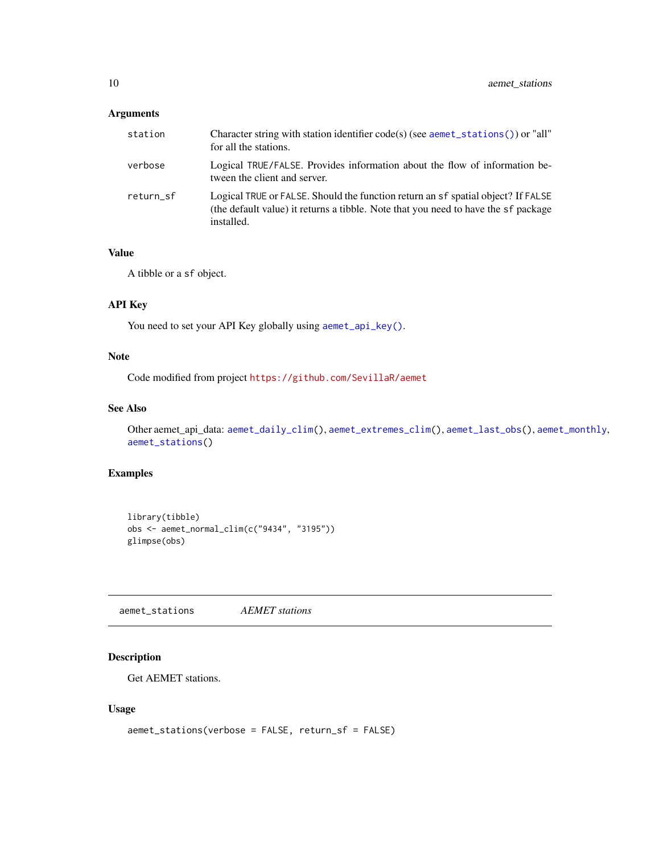<span id="page-9-0"></span>

| station   | Character string with station identifier code(s) (see aemet_stations()) or "all"<br>for all the stations.                                                                            |
|-----------|--------------------------------------------------------------------------------------------------------------------------------------------------------------------------------------|
| verbose   | Logical TRUE/FALSE. Provides information about the flow of information be-<br>tween the client and server.                                                                           |
| return sf | Logical TRUE or FALSE. Should the function return an sf spatial object? If FALSE<br>(the default value) it returns a tibble. Note that you need to have the sf package<br>installed. |

#### Value

A tibble or a sf object.

### API Key

You need to set your API Key globally using [aemet\\_api\\_key\(\)](#page-1-1).

### Note

Code modified from project <https://github.com/SevillaR/aemet>

### See Also

```
Other aemet_api_data: aemet_daily_clim(), aemet_extremes_clim(), aemet_last_obs(), aemet_monthly,
aemet_stations()
```
### Examples

```
library(tibble)
obs <- aemet_normal_clim(c("9434", "3195"))
glimpse(obs)
```
<span id="page-9-1"></span>aemet\_stations *AEMET stations*

### Description

Get AEMET stations.

```
aemet_stations(verbose = FALSE, return_sf = FALSE)
```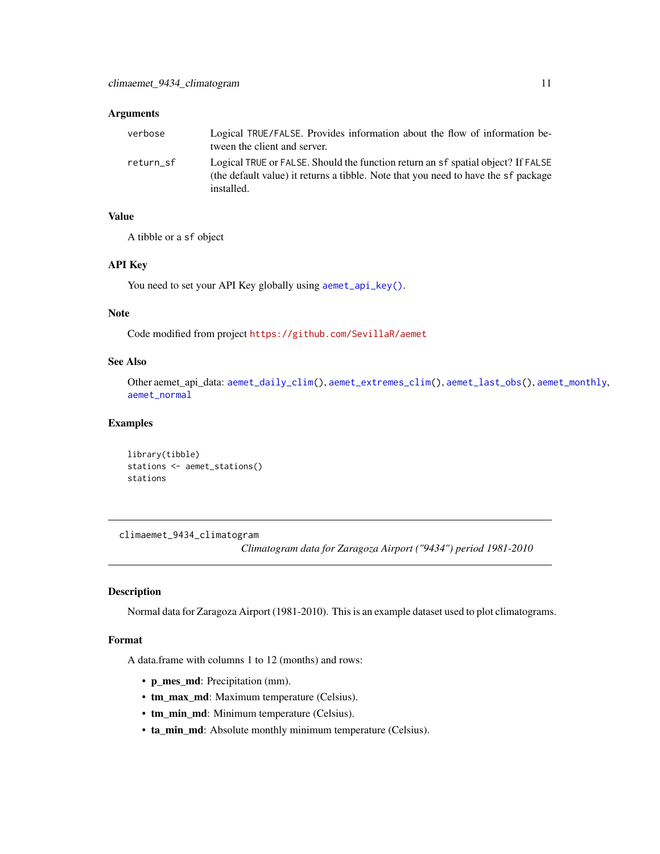<span id="page-10-0"></span>

| verbose   | Logical TRUE/FALSE. Provides information about the flow of information be-<br>tween the client and server.                                                                           |
|-----------|--------------------------------------------------------------------------------------------------------------------------------------------------------------------------------------|
| return sf | Logical TRUE or FALSE. Should the function return an sf spatial object? If FALSE<br>(the default value) it returns a tibble. Note that you need to have the sf package<br>installed. |

#### Value

A tibble or a sf object

#### API Key

You need to set your API Key globally using [aemet\\_api\\_key\(\)](#page-1-1).

### Note

Code modified from project <https://github.com/SevillaR/aemet>

### See Also

Other aemet\_api\_data: [aemet\\_daily\\_clim\(](#page-3-1)), [aemet\\_extremes\\_clim\(](#page-5-1)), [aemet\\_last\\_obs\(](#page-6-1)), [aemet\\_monthly](#page-7-1), [aemet\\_normal](#page-8-1)

#### Examples

```
library(tibble)
stations <- aemet_stations()
stations
```
<span id="page-10-1"></span>climaemet\_9434\_climatogram

*Climatogram data for Zaragoza Airport ("9434") period 1981-2010*

#### Description

Normal data for Zaragoza Airport (1981-2010). This is an example dataset used to plot climatograms.

### Format

A data.frame with columns 1 to 12 (months) and rows:

- p\_mes\_md: Precipitation (mm).
- tm\_max\_md: Maximum temperature (Celsius).
- tm\_min\_md: Minimum temperature (Celsius).
- ta\_min\_md: Absolute monthly minimum temperature (Celsius).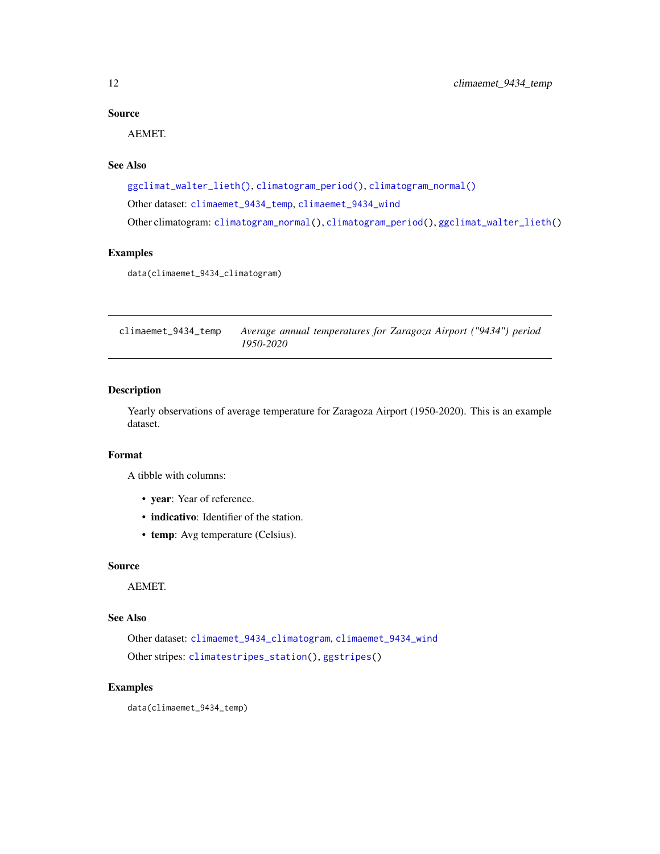### <span id="page-11-0"></span>Source

AEMET.

### See Also

```
ggclimat_walter_lieth(), climatogram_period(), climatogram_normal()
Other dataset: climaemet_9434_temp, climaemet_9434_wind
Other climatogram: climatogram_normal(), climatogram_period(), ggclimat_walter_lieth()
```
#### Examples

data(climaemet\_9434\_climatogram)

<span id="page-11-1"></span>climaemet\_9434\_temp *Average annual temperatures for Zaragoza Airport ("9434") period 1950-2020*

### Description

Yearly observations of average temperature for Zaragoza Airport (1950-2020). This is an example dataset.

#### Format

A tibble with columns:

- year: Year of reference.
- indicativo: Identifier of the station.
- temp: Avg temperature (Celsius).

#### Source

AEMET.

### See Also

Other dataset: [climaemet\\_9434\\_climatogram](#page-10-1), [climaemet\\_9434\\_wind](#page-12-1) Other stripes: [climatestripes\\_station\(](#page-13-1)), [ggstripes\(](#page-21-1))

### Examples

data(climaemet\_9434\_temp)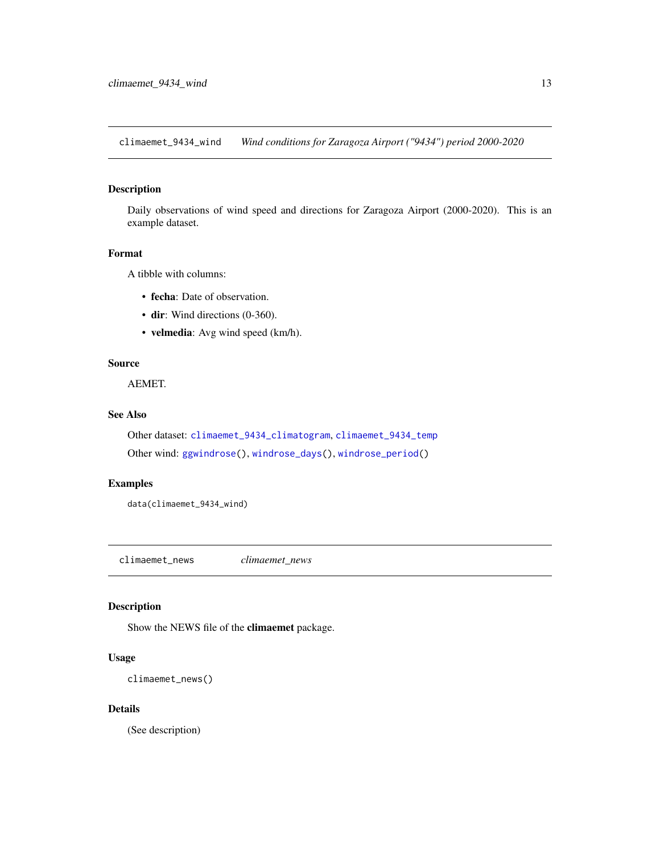<span id="page-12-1"></span><span id="page-12-0"></span>climaemet\_9434\_wind *Wind conditions for Zaragoza Airport ("9434") period 2000-2020*

### Description

Daily observations of wind speed and directions for Zaragoza Airport (2000-2020). This is an example dataset.

#### Format

A tibble with columns:

- fecha: Date of observation.
- dir: Wind directions (0-360).
- velmedia: Avg wind speed (km/h).

### Source

AEMET.

### See Also

Other dataset: [climaemet\\_9434\\_climatogram](#page-10-1), [climaemet\\_9434\\_temp](#page-11-1) Other wind: [ggwindrose\(](#page-23-1)), [windrose\\_days\(](#page-25-1)), [windrose\\_period\(](#page-26-1))

#### Examples

data(climaemet\_9434\_wind)

<span id="page-12-2"></span>climaemet\_news *climaemet\_news*

### Description

Show the NEWS file of the climaemet package.

### Usage

```
climaemet_news()
```
#### Details

(See description)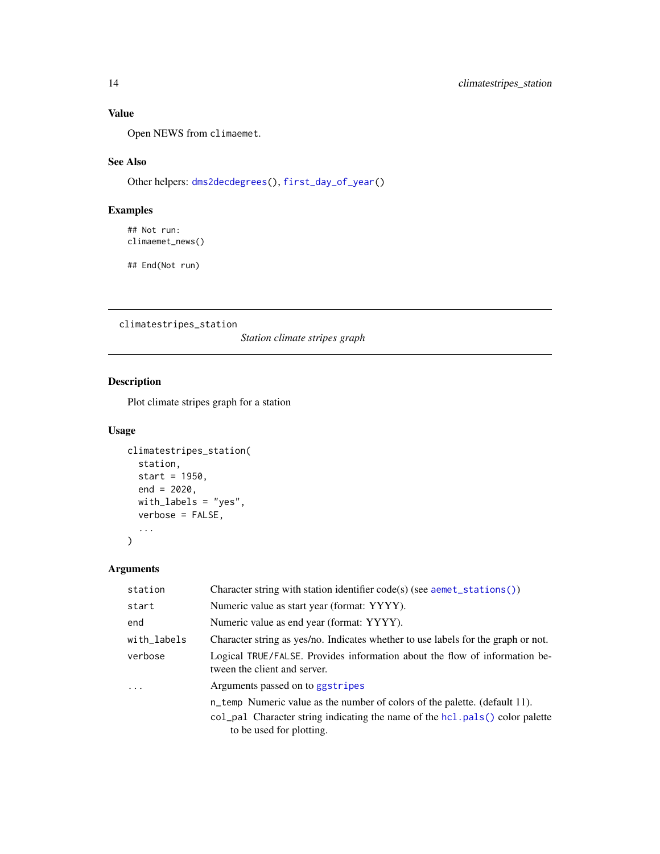### <span id="page-13-0"></span>Value

Open NEWS from climaemet.

### See Also

Other helpers: [dms2decdegrees\(](#page-17-1)), [first\\_day\\_of\\_year\(](#page-18-1))

### Examples

## Not run: climaemet\_news()

## End(Not run)

<span id="page-13-1"></span>climatestripes\_station

*Station climate stripes graph*

### Description

Plot climate stripes graph for a station

### Usage

```
climatestripes_station(
  station,
  start = 1950,
  end = 2020,with_labels = "yes",
  verbose = FALSE,
  ...
\mathcal{L}
```
### Arguments

| Character string with station identifier $code(s)$ (see $a$ emet_stations())                               |
|------------------------------------------------------------------------------------------------------------|
| Numeric value as start year (format: YYYY).                                                                |
| Numeric value as end year (format: YYYY).                                                                  |
| Character string as yes/no. Indicates whether to use labels for the graph or not.                          |
| Logical TRUE/FALSE. Provides information about the flow of information be-<br>tween the client and server. |
| Arguments passed on to ggstripes                                                                           |
| n_temp Numeric value as the number of colors of the palette. (default 11).                                 |
| col_pal Character string indicating the name of the hcl.pals() color palette<br>to be used for plotting.   |
|                                                                                                            |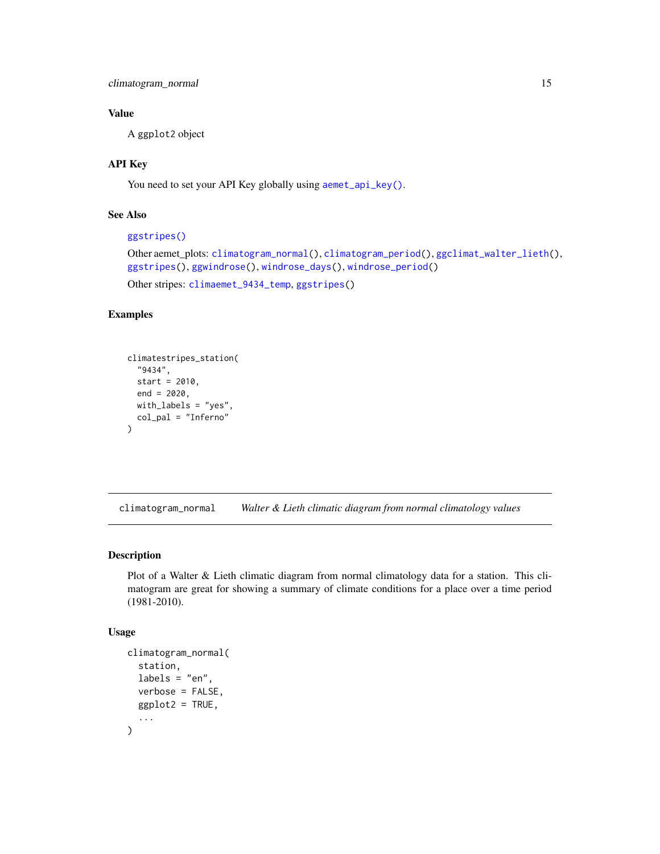<span id="page-14-0"></span>climatogram\_normal 15

### Value

A ggplot2 object

### API Key

You need to set your API Key globally using [aemet\\_api\\_key\(\)](#page-1-1).

### See Also

```
ggstripes()
```

```
Other aemet_plots: climatogram_normal(), climatogram_period(), ggclimat_walter_lieth(),
ggstripes(), ggwindrose(), windrose_days(), windrose_period()
Other stripes: climaemet_9434_temp, ggstripes()
```
### Examples

```
climatestripes_station(
 "9434",
 start = 2010,
 end = 2020,
 with_labels = "yes",
 col_pal = "Inferno"
)
```
<span id="page-14-1"></span>climatogram\_normal *Walter & Lieth climatic diagram from normal climatology values*

#### Description

Plot of a Walter & Lieth climatic diagram from normal climatology data for a station. This climatogram are great for showing a summary of climate conditions for a place over a time period (1981-2010).

```
climatogram_normal(
  station,
  labels = "en",verbose = FALSE,
  ggplot2 = TRUE,...
\mathcal{E}
```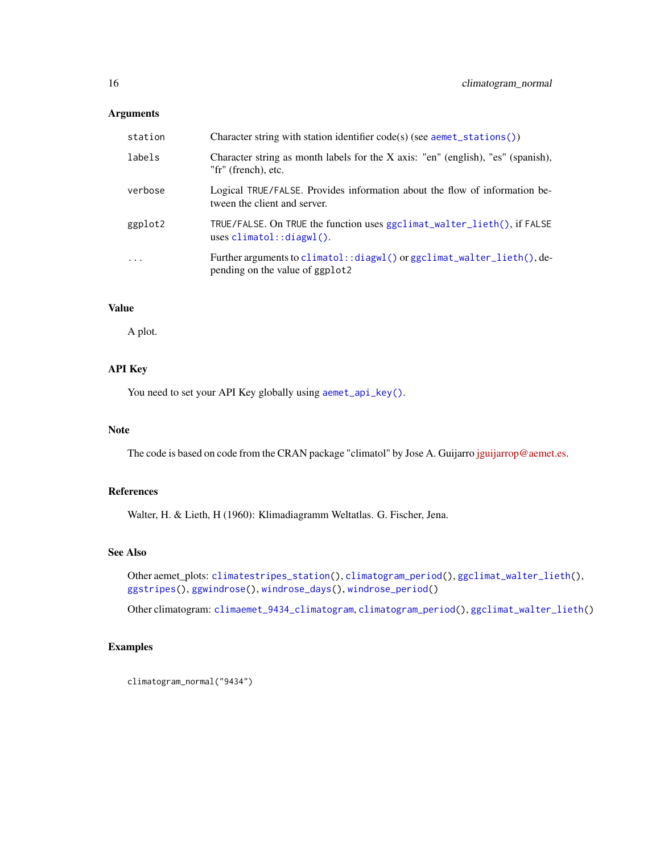<span id="page-15-0"></span>

| station           | Character string with station identifier code(s) (see aemet_stations())                                    |
|-------------------|------------------------------------------------------------------------------------------------------------|
| labels            | Character string as month labels for the X axis: "en" (english), "es" (spanish),<br>"fr" (french), etc.    |
| verbose           | Logical TRUE/FALSE. Provides information about the flow of information be-<br>tween the client and server. |
| ggplot2           | TRUE/FALSE. On TRUE the function uses ggclimat_walter_lieth(), if FALSE<br>uses $climation::display()$ .   |
| $\cdot\cdot\cdot$ | Further arguments to climatol::diagwl() or ggclimat_walter_lieth(), de-<br>pending on the value of ggplot2 |

### Value

A plot.

### API Key

You need to set your API Key globally using [aemet\\_api\\_key\(\)](#page-1-1).

### Note

The code is based on code from the CRAN package "climatol" by Jose A. Guijarro [jguijarrop@aemet.es.](mailto:jguijarrop@aemet.es)

### References

Walter, H. & Lieth, H (1960): Klimadiagramm Weltatlas. G. Fischer, Jena.

### See Also

Other aemet\_plots: [climatestripes\\_station\(](#page-13-1)), [climatogram\\_period\(](#page-16-1)), [ggclimat\\_walter\\_lieth\(](#page-19-1)), [ggstripes\(](#page-21-1)), [ggwindrose\(](#page-23-1)), [windrose\\_days\(](#page-25-1)), [windrose\\_period\(](#page-26-1))

Other climatogram: [climaemet\\_9434\\_climatogram](#page-10-1), [climatogram\\_period\(](#page-16-1)), [ggclimat\\_walter\\_lieth\(](#page-19-1))

### Examples

```
climatogram_normal("9434")
```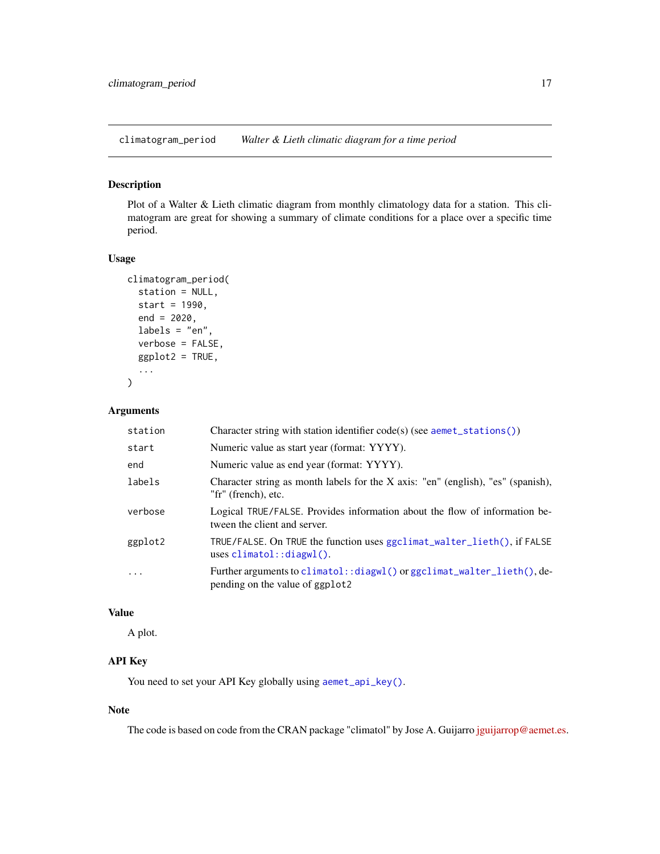<span id="page-16-1"></span><span id="page-16-0"></span>climatogram\_period *Walter & Lieth climatic diagram for a time period*

### Description

Plot of a Walter & Lieth climatic diagram from monthly climatology data for a station. This climatogram are great for showing a summary of climate conditions for a place over a specific time period.

#### Usage

```
climatogram_period(
  station = NULL,
  start = 1990,
  end = 2020,
  labels = "en",
  verbose = FALSE,
  ggplot2 = TRUE,...
)
```
### Arguments

| station    | Character string with station identifier code(s) (see aemet_stations())                                    |
|------------|------------------------------------------------------------------------------------------------------------|
| start      | Numeric value as start year (format: YYYY).                                                                |
| end        | Numeric value as end year (format: YYYY).                                                                  |
| labels     | Character string as month labels for the X axis: "en" (english), "es" (spanish),<br>"fr" (french), etc.    |
| verbose    | Logical TRUE/FALSE. Provides information about the flow of information be-<br>tween the client and server. |
| ggplot2    | TRUE/FALSE. On TRUE the function uses ggclimat_walter_lieth(), if FALSE<br>uses $climation::display()$ .   |
| $\ddots$ . | Further arguments to climatol::diagwl() or ggclimat_walter_lieth(), de-<br>pending on the value of ggplot2 |

### Value

A plot.

### API Key

You need to set your API Key globally using [aemet\\_api\\_key\(\)](#page-1-1).

### Note

The code is based on code from the CRAN package "climatol" by Jose A. Guijarro [jguijarrop@aemet.es.](mailto:jguijarrop@aemet.es)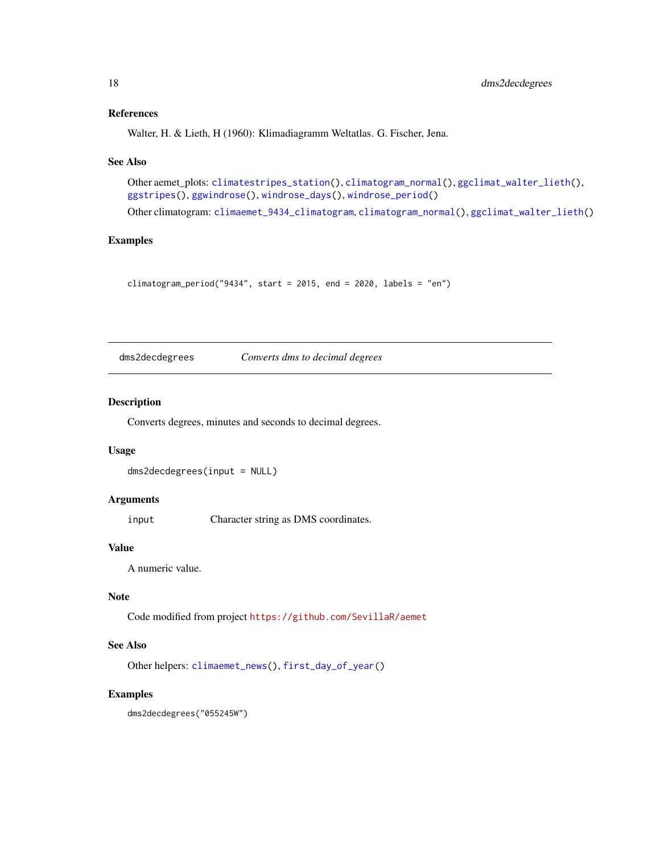#### <span id="page-17-0"></span>References

Walter, H. & Lieth, H (1960): Klimadiagramm Weltatlas. G. Fischer, Jena.

#### See Also

Other aemet\_plots: [climatestripes\\_station\(](#page-13-1)), [climatogram\\_normal\(](#page-14-1)), [ggclimat\\_walter\\_lieth\(](#page-19-1)), [ggstripes\(](#page-21-1)), [ggwindrose\(](#page-23-1)), [windrose\\_days\(](#page-25-1)), [windrose\\_period\(](#page-26-1))

Other climatogram: [climaemet\\_9434\\_climatogram](#page-10-1), [climatogram\\_normal\(](#page-14-1)), [ggclimat\\_walter\\_lieth\(](#page-19-1))

### Examples

climatogram\_period("9434", start = 2015, end = 2020, labels = "en")

<span id="page-17-1"></span>dms2decdegrees *Converts dms to decimal degrees*

#### Description

Converts degrees, minutes and seconds to decimal degrees.

#### Usage

dms2decdegrees(input = NULL)

### Arguments

input Character string as DMS coordinates.

### Value

A numeric value.

### Note

Code modified from project <https://github.com/SevillaR/aemet>

### See Also

Other helpers: [climaemet\\_news\(](#page-12-2)), [first\\_day\\_of\\_year\(](#page-18-1))

### Examples

dms2decdegrees("055245W")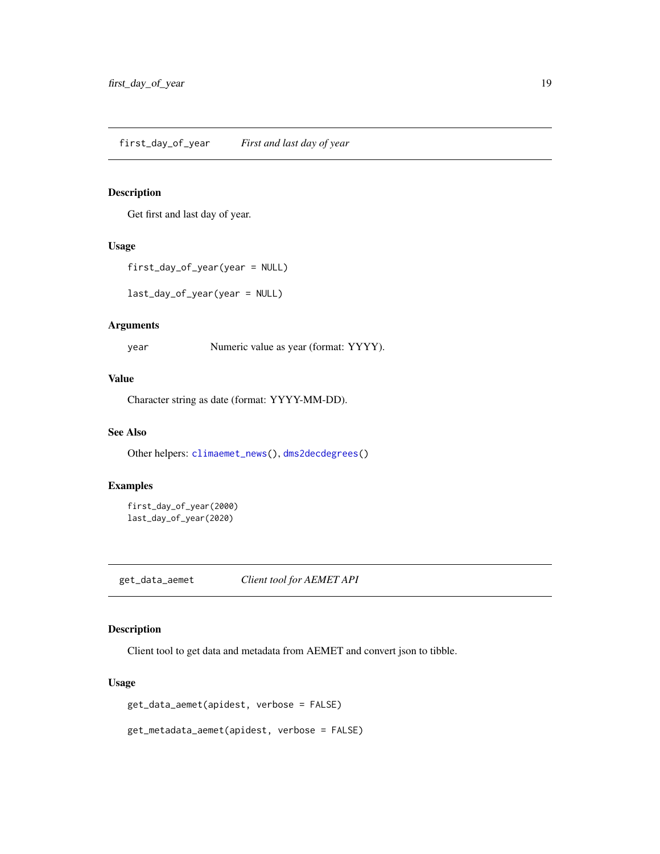### <span id="page-18-1"></span><span id="page-18-0"></span>Description

Get first and last day of year.

#### Usage

```
first_day_of_year(year = NULL)
```
last\_day\_of\_year(year = NULL)

### Arguments

year Numeric value as year (format: YYYY).

#### Value

Character string as date (format: YYYY-MM-DD).

#### See Also

Other helpers: [climaemet\\_news\(](#page-12-2)), [dms2decdegrees\(](#page-17-1))

### Examples

```
first_day_of_year(2000)
last_day_of_year(2020)
```
get\_data\_aemet *Client tool for AEMET API*

### Description

Client tool to get data and metadata from AEMET and convert json to tibble.

#### Usage

get\_data\_aemet(apidest, verbose = FALSE)

get\_metadata\_aemet(apidest, verbose = FALSE)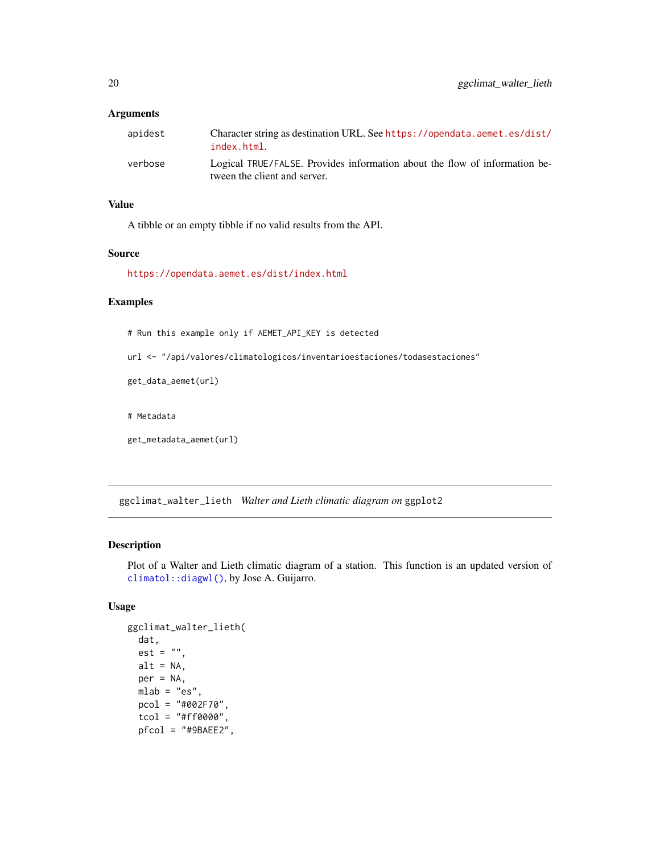<span id="page-19-0"></span>

| apidest | Character string as destination URL. See https://opendata.aemet.es/dist/<br>index.html.                    |
|---------|------------------------------------------------------------------------------------------------------------|
| verbose | Logical TRUE/FALSE. Provides information about the flow of information be-<br>tween the client and server. |

#### Value

A tibble or an empty tibble if no valid results from the API.

### Source

<https://opendata.aemet.es/dist/index.html>

### Examples

# Run this example only if AEMET\_API\_KEY is detected

url <- "/api/valores/climatologicos/inventarioestaciones/todasestaciones"

```
get_data_aemet(url)
```
# Metadata

```
get_metadata_aemet(url)
```
<span id="page-19-1"></span>ggclimat\_walter\_lieth *Walter and Lieth climatic diagram on* ggplot2

### Description

Plot of a Walter and Lieth climatic diagram of a station. This function is an updated version of [climatol::diagwl\(\)](#page-0-0), by Jose A. Guijarro.

```
ggclimat_walter_lieth(
  dat,
  est = "".alt = NA,
 per = NA,
  mlab = "es",pcol = "#002F70",
  tcol = "#ff0000",
  pfcol = "#9BAEE2",
```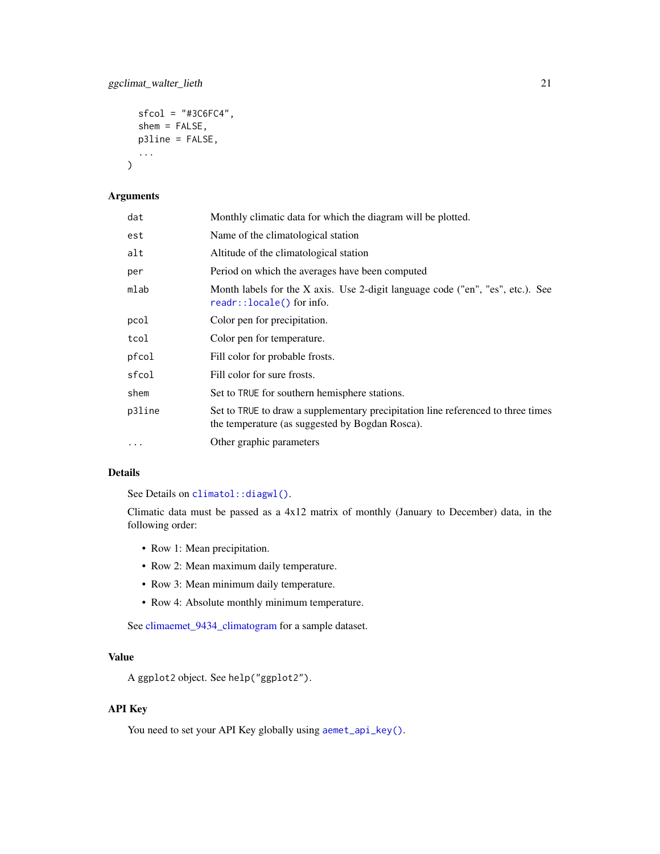```
sfcol = "#3C6FC4",shem = FALSE,
p3line = FALSE,
...
```
 $\mathcal{L}$ 

| dat      | Monthly climatic data for which the diagram will be plotted.                                                                        |
|----------|-------------------------------------------------------------------------------------------------------------------------------------|
| est      | Name of the climatological station                                                                                                  |
| alt      | Altitude of the climatological station                                                                                              |
| per      | Period on which the averages have been computed                                                                                     |
| mlab     | Month labels for the X axis. Use 2-digit language code ("en", "es", etc.). See<br>$readr::locale()$ for info.                       |
| pcol     | Color pen for precipitation.                                                                                                        |
| tcol     | Color pen for temperature.                                                                                                          |
| pfcol    | Fill color for probable frosts.                                                                                                     |
| sfcol    | Fill color for sure frosts.                                                                                                         |
| shem     | Set to TRUE for southern hemisphere stations.                                                                                       |
| p3line   | Set to TRUE to draw a supplementary precipitation line referenced to three times<br>the temperature (as suggested by Bogdan Rosca). |
| $\cdots$ | Other graphic parameters                                                                                                            |

#### Details

See Details on [climatol::diagwl\(\)](#page-0-0).

Climatic data must be passed as a 4x12 matrix of monthly (January to December) data, in the following order:

- Row 1: Mean precipitation.
- Row 2: Mean maximum daily temperature.
- Row 3: Mean minimum daily temperature.
- Row 4: Absolute monthly minimum temperature.

See [climaemet\\_9434\\_climatogram](#page-10-1) for a sample dataset.

### Value

A ggplot2 object. See help("ggplot2").

### API Key

You need to set your API Key globally using [aemet\\_api\\_key\(\)](#page-1-1).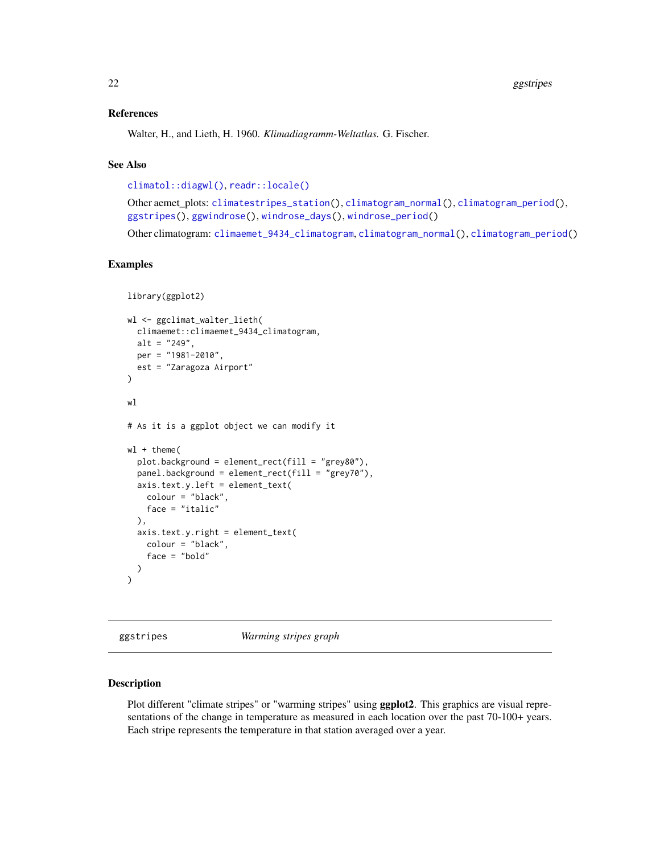#### <span id="page-21-0"></span>References

Walter, H., and Lieth, H. 1960. *Klimadiagramm-Weltatlas.* G. Fischer.

#### See Also

```
climatol::diagwl(), readr::locale()
```
Other aemet\_plots: [climatestripes\\_station\(](#page-13-1)), [climatogram\\_normal\(](#page-14-1)), [climatogram\\_period\(](#page-16-1)), [ggstripes\(](#page-21-1)), [ggwindrose\(](#page-23-1)), [windrose\\_days\(](#page-25-1)), [windrose\\_period\(](#page-26-1))

Other climatogram: [climaemet\\_9434\\_climatogram](#page-10-1), [climatogram\\_normal\(](#page-14-1)), [climatogram\\_period\(](#page-16-1))

### Examples

```
library(ggplot2)
wl <- ggclimat_walter_lieth(
  climaemet::climaemet_9434_climatogram,
  alt = "249",per = "1981-2010",
  est = "Zaragoza Airport"
\lambdawl
# As it is a ggplot object we can modify it
wl + theme(
  plot.background = element_rect(fill = "grey80"),
  panel.background = element_rect(fill = "grey70"),
  axis.text.y.left = element_text(
   colour = "black",
   face = "italic"
  ),
  axis.text.y.right = element_text(
   colour = "black",
    face = "bold"
  )
)
```
<span id="page-21-1"></span>ggstripes *Warming stripes graph*

#### Description

Plot different "climate stripes" or "warming stripes" using ggplot2. This graphics are visual representations of the change in temperature as measured in each location over the past 70-100+ years. Each stripe represents the temperature in that station averaged over a year.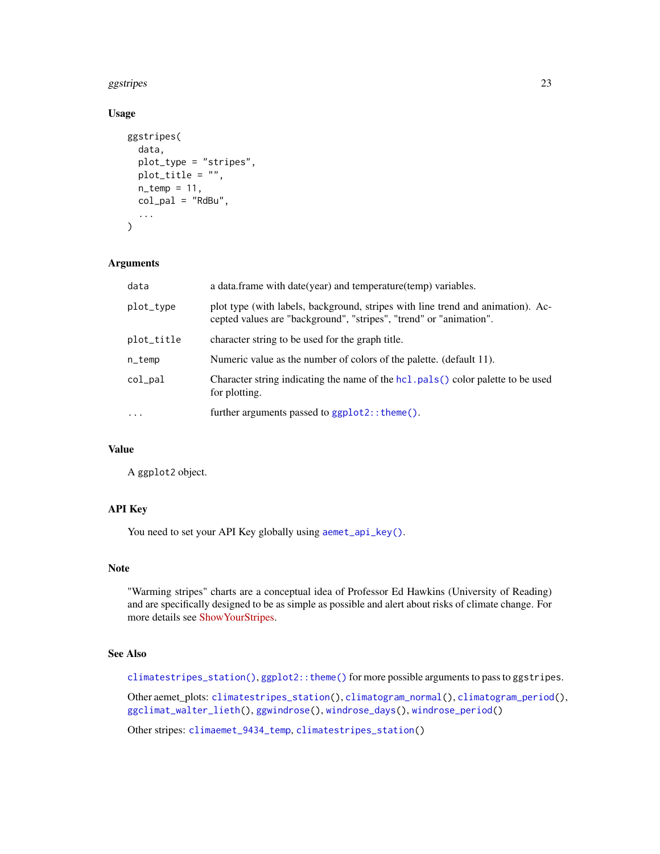#### <span id="page-22-0"></span>ggstripes 23

### Usage

```
ggstripes(
  data,
  plot_type = "stripes",
  plot_title = "",
  n_temp = 11,
  col_pal = "RdBu",
  ...
\mathcal{L}
```
### Arguments

| data       | a data.frame with date(year) and temperature(temp) variables.                                                                                         |
|------------|-------------------------------------------------------------------------------------------------------------------------------------------------------|
| plot_type  | plot type (with labels, background, stripes with line trend and animation). Ac-<br>cepted values are "background", "stripes", "trend" or "animation". |
| plot_title | character string to be used for the graph title.                                                                                                      |
| n_temp     | Numeric value as the number of colors of the palette. (default 11).                                                                                   |
| col_pal    | Character string indicating the name of the hcl. pals () color palette to be used<br>for plotting.                                                    |
| .          | further arguments passed to ggplot2:: theme().                                                                                                        |
|            |                                                                                                                                                       |

### Value

A ggplot2 object.

### API Key

You need to set your API Key globally using [aemet\\_api\\_key\(\)](#page-1-1).

### Note

"Warming stripes" charts are a conceptual idea of Professor Ed Hawkins (University of Reading) and are specifically designed to be as simple as possible and alert about risks of climate change. For more details see [ShowYourStripes.](https://showyourstripes.info/)

### See Also

[climatestripes\\_station\(\)](#page-13-1), [ggplot2::theme\(\)](#page-0-0) for more possible arguments to pass to ggstripes.

Other aemet\_plots: [climatestripes\\_station\(](#page-13-1)), [climatogram\\_normal\(](#page-14-1)), [climatogram\\_period\(](#page-16-1)), [ggclimat\\_walter\\_lieth\(](#page-19-1)), [ggwindrose\(](#page-23-1)), [windrose\\_days\(](#page-25-1)), [windrose\\_period\(](#page-26-1))

Other stripes: [climaemet\\_9434\\_temp](#page-11-1), [climatestripes\\_station\(](#page-13-1))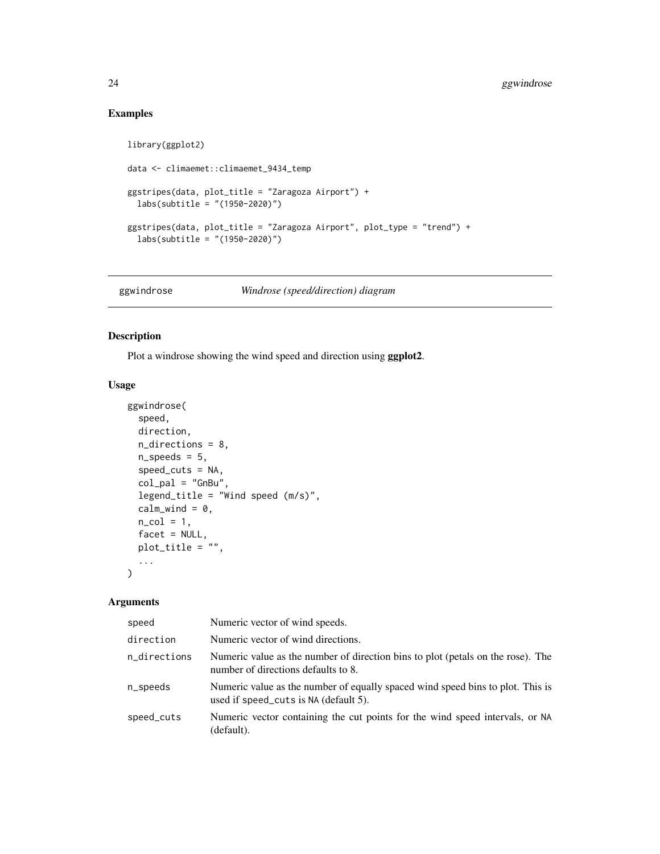### Examples

```
library(ggplot2)
data <- climaemet::climaemet_9434_temp
ggstripes(data, plot_title = "Zaragoza Airport") +
  labs(subtitle = "(1950-2020)")
ggstripes(data, plot_title = "Zaragoza Airport", plot_type = "trend") +
  labs(subtitle = "(1950-2020)")
```
<span id="page-23-1"></span>ggwindrose *Windrose (speed/direction) diagram*

### Description

Plot a windrose showing the wind speed and direction using ggplot2.

### Usage

```
ggwindrose(
  speed,
  direction,
 n_directions = 8,
 n_speeds = 5,
  speed_cuts = NA,
  col\_pal = "GnBu",legend_title = "Wind speed (m/s)",
  calm_wind = 0,
  n_{col} = 1,
  facet = NULL,plot_title = "",
  ...
\mathcal{L}
```
#### Arguments

| speed        | Numeric vector of wind speeds.                                                                                          |
|--------------|-------------------------------------------------------------------------------------------------------------------------|
| direction    | Numeric vector of wind directions.                                                                                      |
| n_directions | Numeric value as the number of direction bins to plot (petals on the rose). The<br>number of directions defaults to 8.  |
| n_speeds     | Numeric value as the number of equally spaced wind speed bins to plot. This is<br>used if speed_cuts is NA (default 5). |
| speed_cuts   | Numeric vector containing the cut points for the wind speed intervals, or NA<br>(default).                              |

<span id="page-23-0"></span>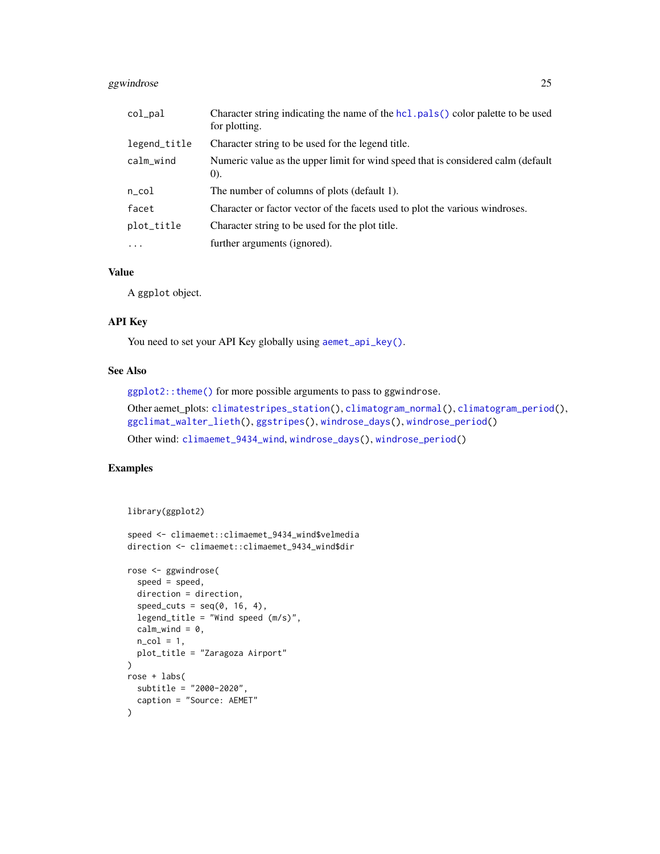### <span id="page-24-0"></span>ggwindrose 25

| $col$ $pal$  | Character string indicating the name of the hcl.pals() color palette to be used<br>for plotting. |
|--------------|--------------------------------------------------------------------------------------------------|
| legend_title | Character string to be used for the legend title.                                                |
| calm_wind    | Numeric value as the upper limit for wind speed that is considered calm (default)<br>(0).        |
| $n\_{col}$   | The number of columns of plots (default 1).                                                      |
| facet        | Character or factor vector of the facets used to plot the various windroses.                     |
| plot_title   | Character string to be used for the plot title.                                                  |
| $\cdot$      | further arguments (ignored).                                                                     |

### Value

A ggplot object.

### API Key

You need to set your API Key globally using [aemet\\_api\\_key\(\)](#page-1-1).

### See Also

[ggplot2::theme\(\)](#page-0-0) for more possible arguments to pass to ggwindrose.

```
Other aemet_plots: climatestripes_station(), climatogram_normal(), climatogram_period(),
ggclimat_walter_lieth(), ggstripes(), windrose_days(), windrose_period()
Other wind: climaemet_9434_wind, windrose_days(), windrose_period()
```
### Examples

```
library(ggplot2)
```

```
speed <- climaemet::climaemet_9434_wind$velmedia
direction <- climaemet::climaemet_9434_wind$dir
```

```
rose <- ggwindrose(
  speed = speed,
  direction = direction,
  speed\_cuts = seq(0, 16, 4),legend_title = "Wind speed (m/s)",
  calm_wind = 0,
  n_{col} = 1,
  plot_title = "Zaragoza Airport"
\overline{\phantom{a}}rose + labs(
  subtitle = "2000-2020",
  caption = "Source: AEMET"
\lambda
```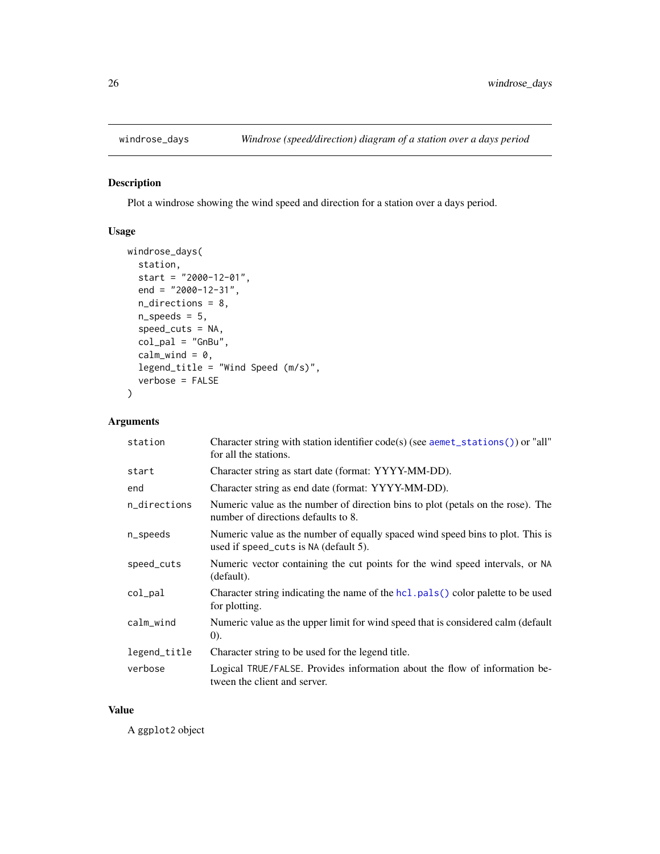<span id="page-25-1"></span><span id="page-25-0"></span>

### Description

Plot a windrose showing the wind speed and direction for a station over a days period.

### Usage

```
windrose_days(
  station,
  start = "2000-12-01",
  end = "2000-12-31",
  n_directions = 8,
  n_speeds = 5,
  speed_cuts = NA,
  col\_pal = "GnBu",calm_wind = 0,
  legend_title = "Wind Speed (m/s)",
  verbose = FALSE
)
```
### Arguments

| station      | Character string with station identifier $code(s)$ (see aemet_stations()) or "all"<br>for all the stations.             |
|--------------|-------------------------------------------------------------------------------------------------------------------------|
| start        | Character string as start date (format: YYYY-MM-DD).                                                                    |
| end          | Character string as end date (format: YYYY-MM-DD).                                                                      |
| n_directions | Numeric value as the number of direction bins to plot (petals on the rose). The<br>number of directions defaults to 8.  |
| n_speeds     | Numeric value as the number of equally spaced wind speed bins to plot. This is<br>used if speed_cuts is NA (default 5). |
| speed_cuts   | Numeric vector containing the cut points for the wind speed intervals, or NA<br>(default).                              |
| col_pal      | Character string indicating the name of the $hcl$ pals () color palette to be used<br>for plotting.                     |
| calm_wind    | Numeric value as the upper limit for wind speed that is considered calm (default<br>(0).                                |
| legend_title | Character string to be used for the legend title.                                                                       |
| verbose      | Logical TRUE/FALSE. Provides information about the flow of information be-<br>tween the client and server.              |

#### Value

A ggplot2 object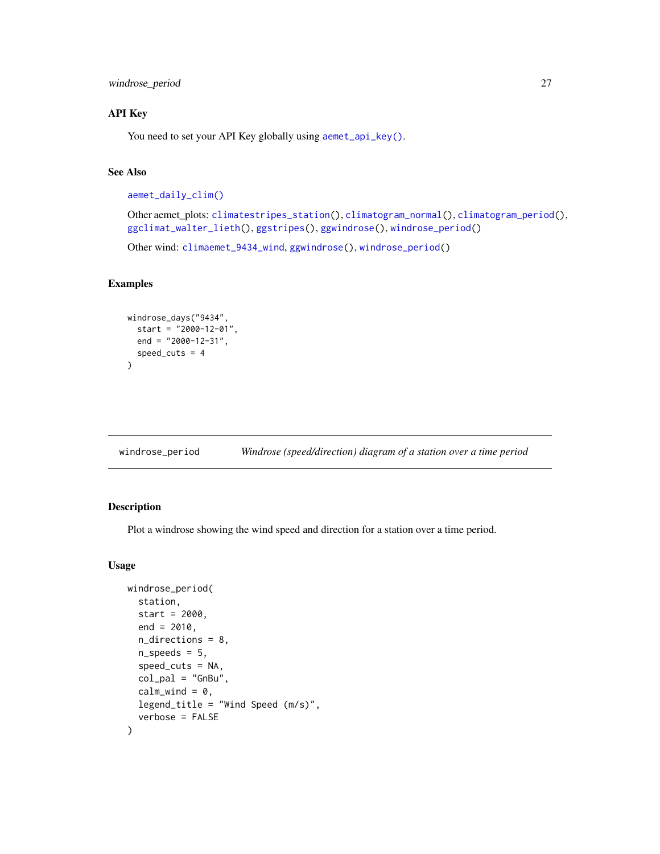<span id="page-26-0"></span>windrose\_period 27

### API Key

You need to set your API Key globally using [aemet\\_api\\_key\(\)](#page-1-1).

### See Also

```
aemet_daily_clim()
```
Other aemet\_plots: [climatestripes\\_station\(](#page-13-1)), [climatogram\\_normal\(](#page-14-1)), [climatogram\\_period\(](#page-16-1)), [ggclimat\\_walter\\_lieth\(](#page-19-1)), [ggstripes\(](#page-21-1)), [ggwindrose\(](#page-23-1)), [windrose\\_period\(](#page-26-1))

Other wind: [climaemet\\_9434\\_wind](#page-12-1), [ggwindrose\(](#page-23-1)), [windrose\\_period\(](#page-26-1))

### Examples

```
windrose_days("9434",
  start = "2000-12-01",
 end = "2000-12-31",
  speed_cuts = 4\lambda
```
<span id="page-26-1"></span>

| windrose_period | Windrose (speed/direction) diagram of a station over a time period |  |
|-----------------|--------------------------------------------------------------------|--|
|                 |                                                                    |  |

### Description

Plot a windrose showing the wind speed and direction for a station over a time period.

```
windrose_period(
  station,
  start = 2000,
 end = 2010,
  n_directions = 8,
  n_speeds = 5,
  speed\_cuts = NA,
  col\_pal = "GnBu",calm_wind = 0,
  legend_title = "Wind Speed (m/s)",
  verbose = FALSE
)
```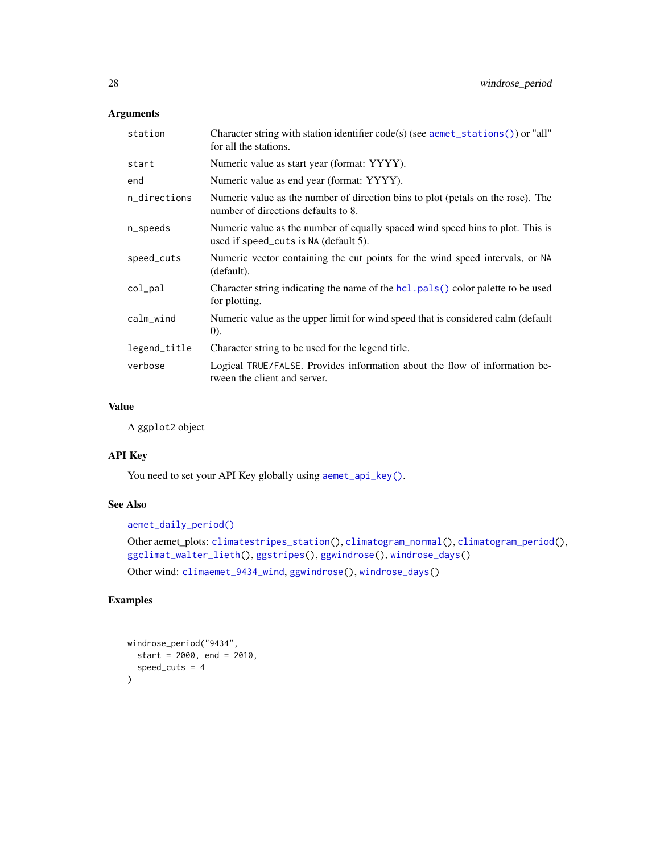| station      | Character string with station identifier $code(s)$ (see aemet_stations()) or "all"<br>for all the stations.             |
|--------------|-------------------------------------------------------------------------------------------------------------------------|
| start        | Numeric value as start year (format: YYYY).                                                                             |
| end          | Numeric value as end year (format: YYYY).                                                                               |
| n_directions | Numeric value as the number of direction bins to plot (petals on the rose). The<br>number of directions defaults to 8.  |
| n_speeds     | Numeric value as the number of equally spaced wind speed bins to plot. This is<br>used if speed_cuts is NA (default 5). |
| speed_cuts   | Numeric vector containing the cut points for the wind speed intervals, or NA<br>(default).                              |
| col_pal      | Character string indicating the name of the hcl. pals() color palette to be used<br>for plotting.                       |
| calm_wind    | Numeric value as the upper limit for wind speed that is considered calm (default<br>(0).                                |
| legend_title | Character string to be used for the legend title.                                                                       |
| verbose      | Logical TRUE/FALSE. Provides information about the flow of information be-<br>tween the client and server.              |

### Value

A ggplot2 object

### API Key

You need to set your API Key globally using [aemet\\_api\\_key\(\)](#page-1-1).

### See Also

[aemet\\_daily\\_period\(\)](#page-3-2)

```
Other aemet_plots: climatestripes_station(), climatogram_normal(), climatogram_period(),
ggclimat_walter_lieth(), ggstripes(), ggwindrose(), windrose_days()
Other wind: climaemet_9434_wind, ggwindrose(), windrose_days()
```
### Examples

```
windrose_period("9434",
  start = 2000, end = 2010,
  speed_cuts = 4
\lambda
```
<span id="page-27-0"></span>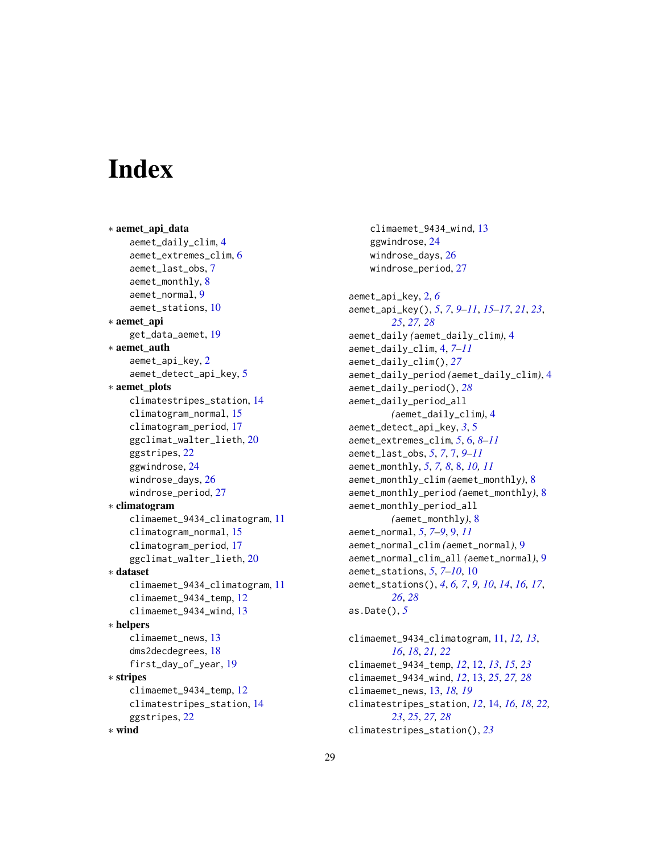# <span id="page-28-0"></span>**Index**

```
∗ aemet_api_data
    aemet_daily_clim, 4
    aemet_extremes_clim, 6
    aemet_last_obs, 7
    aemet_monthly, 8
    aemet_normal, 9
    aemet_stations, 10
∗ aemet_api
    get_data_aemet, 19
∗ aemet_auth
    aemet_api_key, 2
    aemet_detect_api_key, 5
∗ aemet_plots
    climatestripes_station, 14
    climatogram_normal, 15
    climatogram_period, 17
    ggclimat_walter_lieth, 20
    ggstripes, 22
    ggwindrose, 24
    windrose_days, 26
    windrose_period, 27
∗ climatogram
    climaemet_9434_climatogram, 11
    climatogram_normal, 15
    climatogram_period, 17
    ggclimat_walter_lieth, 20
∗ dataset
    climaemet_9434_climatogram, 11
    climaemet_9434_temp, 12
    climaemet_9434_wind, 13
∗ helpers
    13
    dms2decdegrees, 18
    first_day_of_year, 19
∗ stripes
    climaemet_9434_temp, 12
    climatestripes_station, 14
    ggstripes, 22
∗ wind
```
climaemet\_9434\_wind, [13](#page-12-0) ggwindrose, [24](#page-23-0) windrose\_days, [26](#page-25-0) windrose\_period, [27](#page-26-0) aemet\_api\_key, [2,](#page-1-0) *[6](#page-5-0)* aemet\_api\_key(), *[5](#page-4-0)*, *[7](#page-6-0)*, *[9](#page-8-0)[–11](#page-10-0)*, *[15](#page-14-0)[–17](#page-16-0)*, *[21](#page-20-0)*, *[23](#page-22-0)*, *[25](#page-24-0)*, *[27,](#page-26-0) [28](#page-27-0)* aemet\_daily *(*aemet\_daily\_clim*)*, [4](#page-3-0) aemet\_daily\_clim, [4,](#page-3-0) *[7](#page-6-0)[–11](#page-10-0)* aemet\_daily\_clim(), *[27](#page-26-0)* aemet\_daily\_period *(*aemet\_daily\_clim*)*, [4](#page-3-0) aemet\_daily\_period(), *[28](#page-27-0)* aemet\_daily\_period\_all *(*aemet\_daily\_clim*)*, [4](#page-3-0) aemet\_detect\_api\_key, *[3](#page-2-0)*, [5](#page-4-0) aemet\_extremes\_clim, *[5](#page-4-0)*, [6,](#page-5-0) *[8](#page-7-0)[–11](#page-10-0)* aemet\_last\_obs, *[5](#page-4-0)*, *[7](#page-6-0)*, [7,](#page-6-0) *[9](#page-8-0)[–11](#page-10-0)* aemet\_monthly, *[5](#page-4-0)*, *[7,](#page-6-0) [8](#page-7-0)*, [8,](#page-7-0) *[10,](#page-9-0) [11](#page-10-0)* aemet\_monthly\_clim *(*aemet\_monthly*)*, [8](#page-7-0) aemet\_monthly\_period *(*aemet\_monthly*)*, [8](#page-7-0) aemet\_monthly\_period\_all *(*aemet\_monthly*)*, [8](#page-7-0) aemet\_normal, *[5](#page-4-0)*, *[7](#page-6-0)[–9](#page-8-0)*, [9,](#page-8-0) *[11](#page-10-0)* aemet\_normal\_clim *(*aemet\_normal*)*, [9](#page-8-0) aemet\_normal\_clim\_all *(*aemet\_normal*)*, [9](#page-8-0) aemet\_stations, *[5](#page-4-0)*, *[7](#page-6-0)[–10](#page-9-0)*, [10](#page-9-0) aemet\_stations(), *[4](#page-3-0)*, *[6,](#page-5-0) [7](#page-6-0)*, *[9,](#page-8-0) [10](#page-9-0)*, *[14](#page-13-0)*, *[16,](#page-15-0) [17](#page-16-0)*, *[26](#page-25-0)*, *[28](#page-27-0)* as.Date(), *[5](#page-4-0)* climaemet\_9434\_climatogram, [11,](#page-10-0) *[12,](#page-11-0) [13](#page-12-0)*,

*[16](#page-15-0)*, *[18](#page-17-0)*, *[21,](#page-20-0) [22](#page-21-0)* climaemet\_9434\_temp, *[12](#page-11-0)*, [12,](#page-11-0) *[13](#page-12-0)*, *[15](#page-14-0)*, *[23](#page-22-0)* climaemet\_9434\_wind, *[12](#page-11-0)*, [13,](#page-12-0) *[25](#page-24-0)*, *[27,](#page-26-0) [28](#page-27-0)* climaemet\_news, [13,](#page-12-0) *[18,](#page-17-0) [19](#page-18-0)* climatestripes\_station, *[12](#page-11-0)*, [14,](#page-13-0) *[16](#page-15-0)*, *[18](#page-17-0)*, *[22,](#page-21-0) [23](#page-22-0)*, *[25](#page-24-0)*, *[27,](#page-26-0) [28](#page-27-0)* climatestripes\_station(), *[23](#page-22-0)*